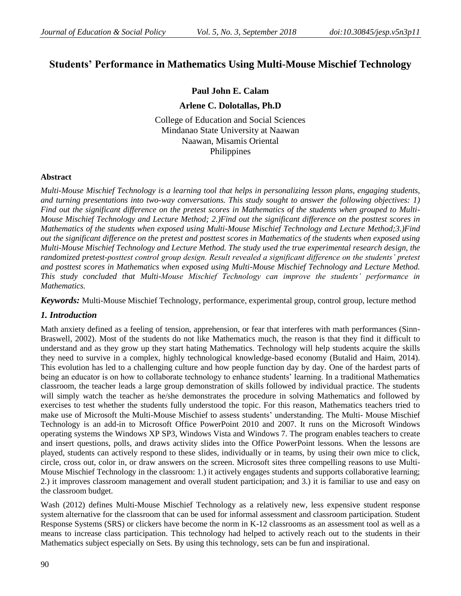# **Students' Performance in Mathematics Using Multi-Mouse Mischief Technology**

## **Paul John E. Calam**

### **Arlene C. Dolotallas, Ph.D**

College of Education and Social Sciences Mindanao State University at Naawan Naawan, Misamis Oriental Philippines

### **Abstract**

*Multi-Mouse Mischief Technology is a learning tool that helps in personalizing lesson plans, engaging students, and turning presentations into two-way conversations. This study sought to answer the following objectives: 1) Find out the significant difference on the pretest scores in Mathematics of the students when grouped to Multi-Mouse Mischief Technology and Lecture Method; 2.)Find out the significant difference on the posttest scores in Mathematics of the students when exposed using Multi-Mouse Mischief Technology and Lecture Method;3.)Find out the significant difference on the pretest and posttest scores in Mathematics of the students when exposed using Multi-Mouse Mischief Technology and Lecture Method. The study used the true experimental research design, the randomized pretest-posttest control group design. Result revealed a significant difference on the students' pretest and posttest scores in Mathematics when exposed using Multi-Mouse Mischief Technology and Lecture Method. This study concluded that Multi-Mouse Mischief Technology can improve the students' performance in Mathematics.* 

*Keywords:* Multi-Mouse Mischief Technology, performance, experimental group, control group, lecture method

### *1. Introduction*

Math anxiety defined as a feeling of tension, apprehension, or fear that interferes with math performances (Sinn-Braswell, 2002). Most of the students do not like Mathematics much, the reason is that they find it difficult to understand and as they grow up they start hating Mathematics. Technology will help students acquire the skills they need to survive in a complex, highly technological knowledge-based economy (Butalid and Haim, 2014). This evolution has led to a challenging culture and how people function day by day. One of the hardest parts of being an educator is on how to collaborate technology to enhance students' learning. In a traditional Mathematics classroom, the teacher leads a large group demonstration of skills followed by individual practice. The students will simply watch the teacher as he/she demonstrates the procedure in solving Mathematics and followed by exercises to test whether the students fully understood the topic. For this reason, Mathematics teachers tried to make use of Microsoft the Multi-Mouse Mischief to assess students' understanding. The Multi- Mouse Mischief Technology is an add-in to Microsoft Office PowerPoint 2010 and 2007. It runs on the Microsoft Windows operating systems the Windows XP SP3, Windows Vista and Windows 7. The program enables teachers to create and insert questions, polls, and draws activity slides into the Office PowerPoint lessons. When the lessons are played, students can actively respond to these slides, individually or in teams, by using their own mice to click, circle, cross out, color in, or draw answers on the screen. Microsoft sites three compelling reasons to use Multi-Mouse Mischief Technology in the classroom: 1.) it actively engages students and supports collaborative learning; 2.) it improves classroom management and overall student participation; and 3.) it is familiar to use and easy on the classroom budget.

Wash (2012) defines Multi-Mouse Mischief Technology as a relatively new, less expensive student response system alternative for the classroom that can be used for informal assessment and classroom participation. Student Response Systems (SRS) or clickers have become the norm in K-12 classrooms as an assessment tool as well as a means to increase class participation. This technology had helped to actively reach out to the students in their Mathematics subject especially on Sets. By using this technology, sets can be fun and inspirational.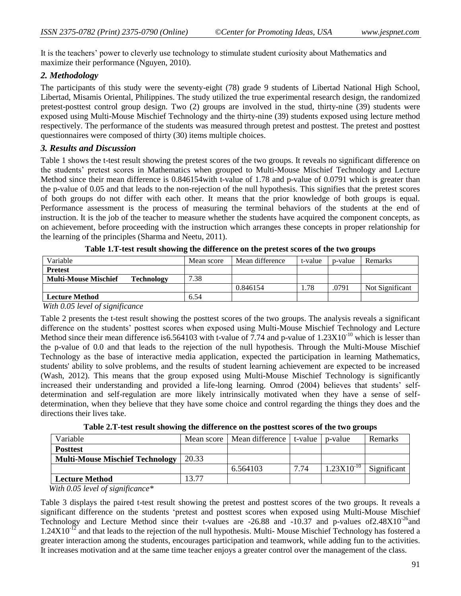It is the teachers' power to cleverly use technology to stimulate student curiosity about Mathematics and maximize their performance (Nguyen, 2010).

# *2. Methodology*

The participants of this study were the seventy-eight (78) grade 9 students of Libertad National High School, Libertad, Misamis Oriental, Philippines. The study utilized the true experimental research design, the randomized pretest-posttest control group design. Two (2) groups are involved in the stud, thirty-nine (39) students were exposed using Multi-Mouse Mischief Technology and the thirty-nine (39) students exposed using lecture method respectively. The performance of the students was measured through pretest and posttest. The pretest and posttest questionnaires were composed of thirty (30) items multiple choices.

## *3. Results and Discussion*

Table 1 shows the t-test result showing the pretest scores of the two groups. It reveals no significant difference on the students' pretest scores in Mathematics when grouped to Multi-Mouse Mischief Technology and Lecture Method since their mean difference is 0.846154with t-value of 1.78 and p-value of 0.0791 which is greater than the p-value of 0.05 and that leads to the non-rejection of the null hypothesis. This signifies that the pretest scores of both groups do not differ with each other. It means that the prior knowledge of both groups is equal. Performance assessment is the process of measuring the terminal behaviors of the students at the end of instruction. It is the job of the teacher to measure whether the students have acquired the component concepts, as on achievement, before proceeding with the instruction which arranges these concepts in proper relationship for the learning of the principles (Sharma and Neetu, 2011).

| Variable                                         | Mean score | Mean difference | t-value | n-value | <b>Remarks</b>  |
|--------------------------------------------------|------------|-----------------|---------|---------|-----------------|
| <b>Pretest</b>                                   |            |                 |         |         |                 |
| <b>Multi-Mouse Mischief</b><br><b>Technology</b> | 7.38       |                 |         |         |                 |
|                                                  |            | 0.846154        | 1.78    | .0791   | Not Significant |
| <b>Lecture Method</b>                            | 6.54       |                 |         |         |                 |

|  |  |  | Table 1.T-test result showing the difference on the pretest scores of the two groups |  |  |
|--|--|--|--------------------------------------------------------------------------------------|--|--|
|  |  |  |                                                                                      |  |  |

*With 0.05 level of significance*

Table 2 presents the t-test result showing the posttest scores of the two groups. The analysis reveals a significant difference on the students' posttest scores when exposed using Multi-Mouse Mischief Technology and Lecture Method since their mean difference is 6.564103 with t-value of 7.74 and p-value of 1.23X10<sup>-10</sup> which is lesser than the p-value of 0.0 and that leads to the rejection of the null hypothesis. Through the Multi-Mouse Mischief Technology as the base of interactive media application, expected the participation in learning Mathematics, students' ability to solve problems, and the results of student learning achievement are expected to be increased (Wash, 2012). This means that the group exposed using Multi-Mouse Mischief Technology is significantly increased their understanding and provided a life-long learning. Omrod (2004) believes that students' selfdetermination and self-regulation are more likely intrinsically motivated when they have a sense of selfdetermination, when they believe that they have some choice and control regarding the things they does and the directions their lives take.

**Table 2.T-test result showing the difference on the posttest scores of the two groups**

| Variable                               | Mean score 1 | Mean difference |      | t-value   p-value | <b>Remarks</b> |
|----------------------------------------|--------------|-----------------|------|-------------------|----------------|
| <b>Posttest</b>                        |              |                 |      |                   |                |
| <b>Multi-Mouse Mischief Technology</b> | 20.33        |                 |      |                   |                |
|                                        |              | 6.564103        | 7.74 | $1.23X10^{-10}$   | Significant    |
| <b>Lecture Method</b>                  | 13.77        |                 |      |                   |                |

 *With 0.05 level of significance\**

Table 3 displays the paired t-test result showing the pretest and posttest scores of the two groups. It reveals a significant difference on the students 'pretest and posttest scores when exposed using Multi-Mouse Mischief Technology and Lecture Method since their t-values are  $-26.88$  and  $-10.37$  and p-values of  $2.48X10^{-26}$  and  $1.24X10^{-12}$  and that leads to the rejection of the null hypothesis. Multi-Mouse Mischief Technology has fostered a greater interaction among the students, encourages participation and teamwork, while adding fun to the activities. It increases motivation and at the same time teacher enjoys a greater control over the management of the class.